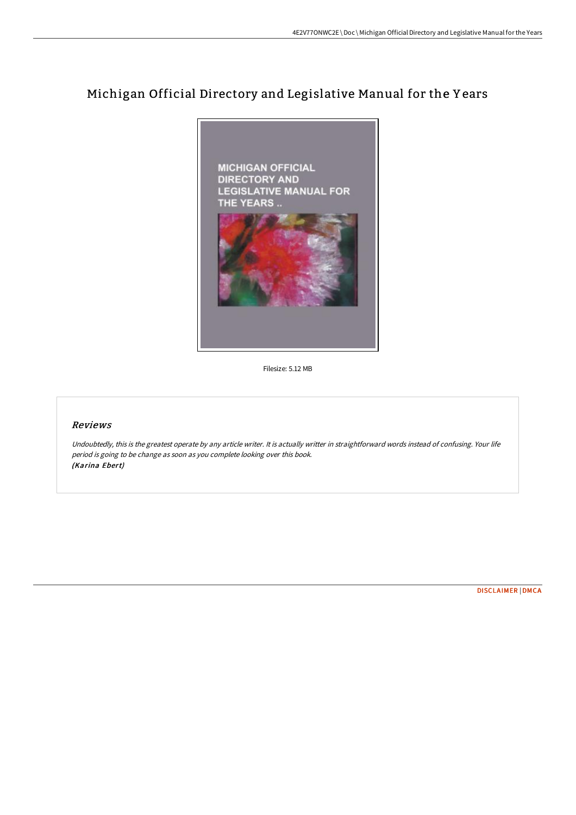# Michigan Official Directory and Legislative Manual for the Y ears



Filesize: 5.12 MB

## Reviews

Undoubtedly, this is the greatest operate by any article writer. It is actually writter in straightforward words instead of confusing. Your life period is going to be change as soon as you complete looking over this book. (Karina Ebert)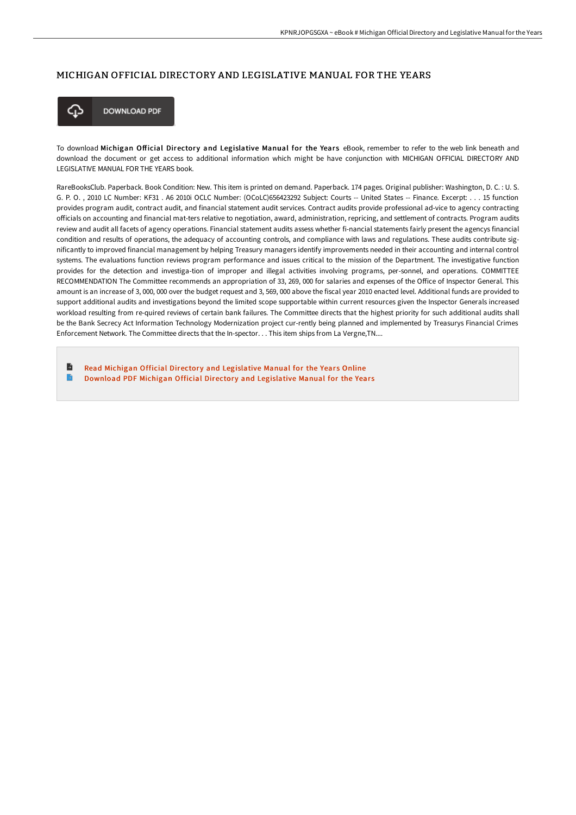## MICHIGAN OFFICIAL DIRECTORY AND LEGISLATIVE MANUAL FOR THE YEARS



**DOWNLOAD PDF** 

To download Michigan Official Directory and Legislative Manual for the Years eBook, remember to refer to the web link beneath and download the document or get access to additional information which might be have conjunction with MICHIGAN OFFICIAL DIRECTORY AND LEGISLATIVE MANUAL FOR THE YEARS book.

RareBooksClub. Paperback. Book Condition: New. This item is printed on demand. Paperback. 174 pages. Original publisher: Washington, D. C. : U. S. G. P. O. , 2010 LC Number: KF31 . A6 2010i OCLC Number: (OCoLC)656423292 Subject: Courts -- United States -- Finance. Excerpt: . . . 15 function provides program audit, contract audit, and financial statement audit services. Contract audits provide professional ad-vice to agency contracting officials on accounting and financial mat-ters relative to negotiation, award, administration, repricing, and settlement of contracts. Program audits review and audit all facets of agency operations. Financial statement audits assess whether fi-nancial statements fairly present the agencys financial condition and results of operations, the adequacy of accounting controls, and compliance with laws and regulations. These audits contribute significantly to improved financial management by helping Treasury managers identify improvements needed in their accounting and internal control systems. The evaluations function reviews program performance and issues critical to the mission of the Department. The investigative function provides for the detection and investiga-tion of improper and illegal activities involving programs, per-sonnel, and operations. COMMITTEE RECOMMENDATION The Committee recommends an appropriation of 33, 269, 000 for salaries and expenses of the Office of Inspector General. This amount is an increase of 3, 000, 000 over the budget request and 3, 569, 000 above the fiscal year 2010 enacted level. Additional funds are provided to support additional audits and investigations beyond the limited scope supportable within current resources given the Inspector Generals increased workload resulting from re-quired reviews of certain bank failures. The Committee directs that the highest priority for such additional audits shall be the Bank Secrecy Act Information Technology Modernization project cur-rently being planned and implemented by Treasurys Financial Crimes Enforcement Network. The Committee directs that the In-spector. . . This item ships from La Vergne,TN....

B Read Michigan Official Directory and [Legislative](http://techno-pub.tech/michigan-official-directory-and-legislative-manu.html) Manual for the Years Online B Download PDF Michigan Official Directory and [Legislative](http://techno-pub.tech/michigan-official-directory-and-legislative-manu.html) Manual for the Years